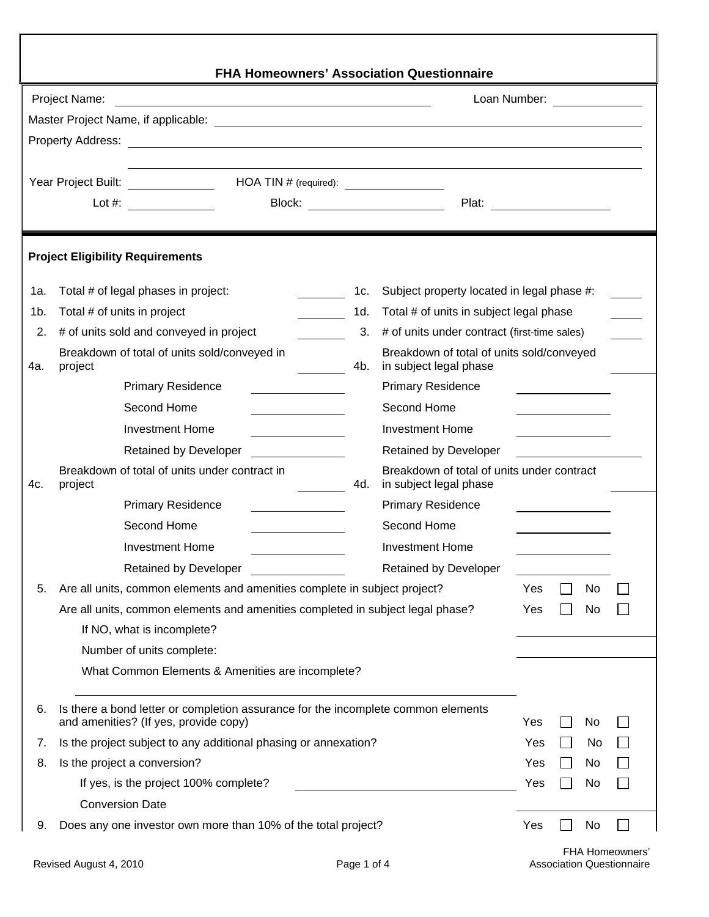| <b>FHA Homeowners' Association Questionnaire</b>                                                                                                                        |                                                                                                                            |     |                                                                      |                                           |                                     |           |  |
|-------------------------------------------------------------------------------------------------------------------------------------------------------------------------|----------------------------------------------------------------------------------------------------------------------------|-----|----------------------------------------------------------------------|-------------------------------------------|-------------------------------------|-----------|--|
| Project Name:<br>Loan Number: <u>________</u><br><u> 1989 - Johann Stoff, deutscher Stoffen und der Stoffen und der Stoffen und der Stoffen und der Stoffen und der</u> |                                                                                                                            |     |                                                                      |                                           |                                     |           |  |
|                                                                                                                                                                         |                                                                                                                            |     |                                                                      |                                           |                                     |           |  |
|                                                                                                                                                                         |                                                                                                                            |     |                                                                      |                                           |                                     |           |  |
|                                                                                                                                                                         |                                                                                                                            |     |                                                                      |                                           |                                     |           |  |
| Year Project Built: <u>____________</u>                                                                                                                                 |                                                                                                                            |     |                                                                      |                                           |                                     |           |  |
|                                                                                                                                                                         | Lot $\#$ :                                                                                                                 |     | Block: _________________________                                     |                                           |                                     |           |  |
|                                                                                                                                                                         |                                                                                                                            |     |                                                                      |                                           |                                     |           |  |
|                                                                                                                                                                         | <b>Project Eligibility Requirements</b>                                                                                    |     |                                                                      |                                           |                                     |           |  |
| 1a.                                                                                                                                                                     | Total # of legal phases in project:                                                                                        | 1c. | Subject property located in legal phase #:                           |                                           |                                     |           |  |
| 1b.                                                                                                                                                                     | Total # of units in project                                                                                                | 1d. | Total # of units in subject legal phase                              |                                           |                                     |           |  |
| 2.                                                                                                                                                                      | # of units sold and conveyed in project                                                                                    | 3.  | # of units under contract (first-time sales)                         |                                           |                                     |           |  |
| 4a.                                                                                                                                                                     | Breakdown of total of units sold/conveyed in<br>project                                                                    | 4b. | in subject legal phase                                               | Breakdown of total of units sold/conveyed |                                     |           |  |
|                                                                                                                                                                         | <b>Primary Residence</b>                                                                                                   |     | <b>Primary Residence</b>                                             |                                           | the contract of the contract of the |           |  |
|                                                                                                                                                                         | Second Home                                                                                                                |     | Second Home                                                          |                                           |                                     |           |  |
|                                                                                                                                                                         | <b>Investment Home</b>                                                                                                     |     | <b>Investment Home</b>                                               |                                           |                                     |           |  |
|                                                                                                                                                                         | <b>Retained by Developer</b>                                                                                               |     | <b>Retained by Developer</b>                                         |                                           |                                     |           |  |
| 4c.                                                                                                                                                                     | Breakdown of total of units under contract in<br>project                                                                   | 4d. | Breakdown of total of units under contract<br>in subject legal phase |                                           |                                     |           |  |
|                                                                                                                                                                         | <b>Primary Residence</b>                                                                                                   |     | <b>Primary Residence</b>                                             |                                           |                                     |           |  |
|                                                                                                                                                                         | Second Home                                                                                                                |     | Second Home                                                          |                                           |                                     |           |  |
|                                                                                                                                                                         | <b>Investment Home</b>                                                                                                     |     | <b>Investment Home</b>                                               |                                           |                                     |           |  |
|                                                                                                                                                                         | Retained by Developer                                                                                                      |     | <b>Retained by Developer</b>                                         |                                           |                                     |           |  |
| 5.                                                                                                                                                                      | Are all units, common elements and amenities complete in subject project?                                                  |     |                                                                      | Yes                                       |                                     | No        |  |
|                                                                                                                                                                         | Are all units, common elements and amenities completed in subject legal phase?                                             |     |                                                                      | Yes                                       |                                     | No        |  |
|                                                                                                                                                                         | If NO, what is incomplete?                                                                                                 |     |                                                                      |                                           |                                     |           |  |
|                                                                                                                                                                         | Number of units complete:                                                                                                  |     |                                                                      |                                           |                                     |           |  |
|                                                                                                                                                                         | What Common Elements & Amenities are incomplete?                                                                           |     |                                                                      |                                           |                                     |           |  |
| 6.                                                                                                                                                                      | Is there a bond letter or completion assurance for the incomplete common elements<br>and amenities? (If yes, provide copy) |     |                                                                      | Yes                                       |                                     | No        |  |
| 7.                                                                                                                                                                      | Is the project subject to any additional phasing or annexation?                                                            |     |                                                                      | Yes                                       |                                     | No        |  |
| 8.                                                                                                                                                                      | Is the project a conversion?                                                                                               |     |                                                                      | Yes                                       |                                     | No        |  |
|                                                                                                                                                                         | If yes, is the project 100% complete?                                                                                      |     |                                                                      | Yes                                       |                                     | <b>No</b> |  |
|                                                                                                                                                                         | <b>Conversion Date</b>                                                                                                     |     |                                                                      |                                           |                                     |           |  |
| 9.                                                                                                                                                                      | Does any one investor own more than 10% of the total project?                                                              |     |                                                                      | Yes                                       |                                     | No        |  |
|                                                                                                                                                                         |                                                                                                                            |     |                                                                      |                                           |                                     |           |  |

٦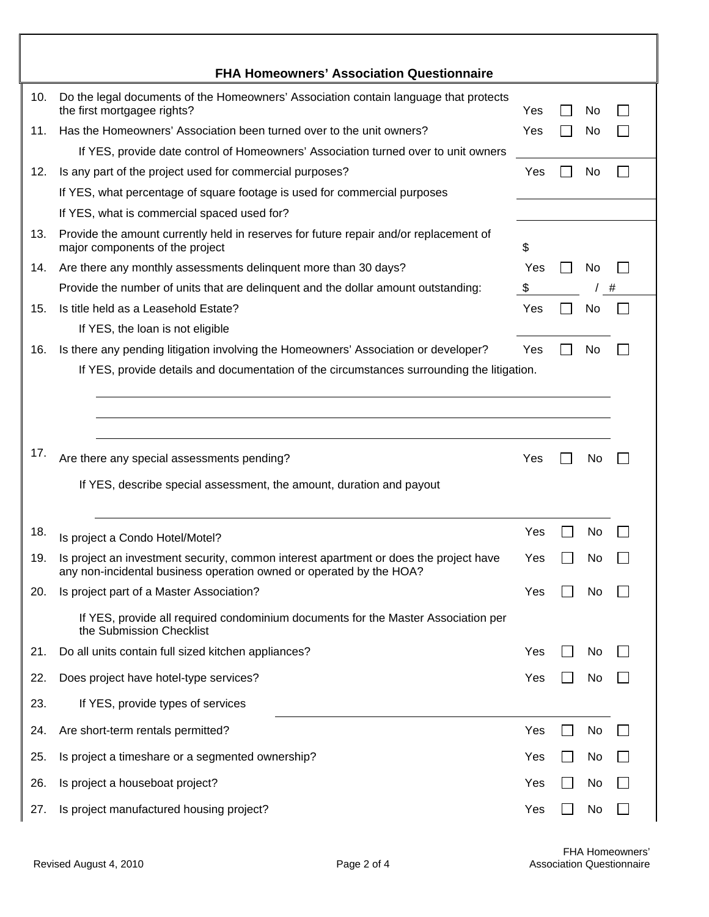|     | <b>FHA Homeowners' Association Questionnaire</b>                                                                                                             |     |     |   |
|-----|--------------------------------------------------------------------------------------------------------------------------------------------------------------|-----|-----|---|
| 10. | Do the legal documents of the Homeowners' Association contain language that protects<br>the first mortgagee rights?                                          | Yes | No  |   |
| 11. | Has the Homeowners' Association been turned over to the unit owners?                                                                                         | Yes | No  |   |
|     | If YES, provide date control of Homeowners' Association turned over to unit owners                                                                           |     |     |   |
| 12. | Is any part of the project used for commercial purposes?<br>Yes<br>No.                                                                                       |     |     |   |
|     | If YES, what percentage of square footage is used for commercial purposes                                                                                    |     |     |   |
|     | If YES, what is commercial spaced used for?                                                                                                                  |     |     |   |
| 13. | Provide the amount currently held in reserves for future repair and/or replacement of<br>major components of the project                                     | \$  |     |   |
| 14. | Are there any monthly assessments delinquent more than 30 days?                                                                                              | Yes | No  |   |
|     | Provide the number of units that are delinquent and the dollar amount outstanding:                                                                           | \$  |     | # |
| 15. | Is title held as a Leasehold Estate?                                                                                                                         | Yes | No  |   |
|     | If YES, the loan is not eligible                                                                                                                             |     |     |   |
| 16. | Is there any pending litigation involving the Homeowners' Association or developer?                                                                          | Yes | No  |   |
|     | If YES, provide details and documentation of the circumstances surrounding the litigation.                                                                   |     |     |   |
| 17. | Are there any special assessments pending?<br>If YES, describe special assessment, the amount, duration and payout                                           | Yes | No  |   |
| 18. | Is project a Condo Hotel/Motel?                                                                                                                              | Yes | No  |   |
| 19  | Is proiect an investment security, common interest apartment or does the project have<br>any non-incidental business operation owned or operated by the HOA? | Yes | Νo  |   |
| 20. | Is project part of a Master Association?                                                                                                                     | Yes | No  |   |
|     | If YES, provide all required condominium documents for the Master Association per<br>the Submission Checklist                                                |     |     |   |
| 21. | Do all units contain full sized kitchen appliances?                                                                                                          | Yes | No  |   |
| 22. | Does project have hotel-type services?                                                                                                                       | Yes | No  |   |
| 23. | If YES, provide types of services                                                                                                                            |     |     |   |
| 24. | Are short-term rentals permitted?                                                                                                                            | Yes | No  |   |
| 25. | Is project a timeshare or a segmented ownership?                                                                                                             | Yes | No  |   |
| 26. | Is project a houseboat project?                                                                                                                              | Yes | No. |   |
| 27. | Is project manufactured housing project?                                                                                                                     | Yes | No  |   |

ī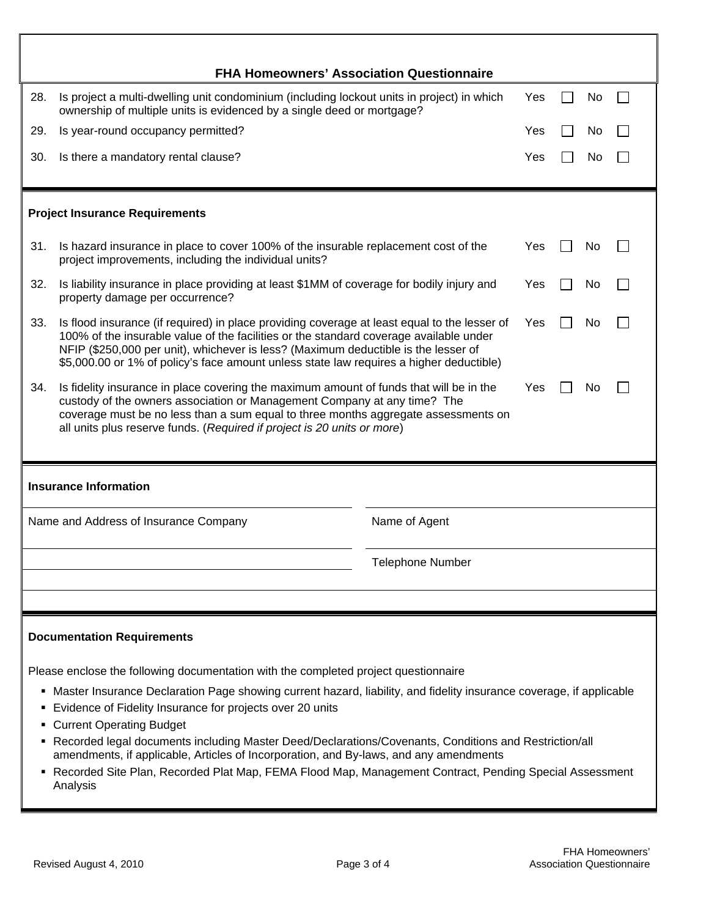| <b>FHA Homeowners' Association Questionnaire</b>                                                                                                                                                                                                                                                                                                                                                                                                                                                                                                                                                                                          |                                                                                                                                                                                                                                                                                                                                                                                      |                         |  |  |    |  |  |
|-------------------------------------------------------------------------------------------------------------------------------------------------------------------------------------------------------------------------------------------------------------------------------------------------------------------------------------------------------------------------------------------------------------------------------------------------------------------------------------------------------------------------------------------------------------------------------------------------------------------------------------------|--------------------------------------------------------------------------------------------------------------------------------------------------------------------------------------------------------------------------------------------------------------------------------------------------------------------------------------------------------------------------------------|-------------------------|--|--|----|--|--|
| 28.                                                                                                                                                                                                                                                                                                                                                                                                                                                                                                                                                                                                                                       | Is project a multi-dwelling unit condominium (including lockout units in project) in which<br>Yes<br>No<br>ownership of multiple units is evidenced by a single deed or mortgage?                                                                                                                                                                                                    |                         |  |  |    |  |  |
| 29.                                                                                                                                                                                                                                                                                                                                                                                                                                                                                                                                                                                                                                       | Is year-round occupancy permitted?                                                                                                                                                                                                                                                                                                                                                   |                         |  |  | No |  |  |
| 30.                                                                                                                                                                                                                                                                                                                                                                                                                                                                                                                                                                                                                                       | Is there a mandatory rental clause?                                                                                                                                                                                                                                                                                                                                                  |                         |  |  | No |  |  |
|                                                                                                                                                                                                                                                                                                                                                                                                                                                                                                                                                                                                                                           |                                                                                                                                                                                                                                                                                                                                                                                      |                         |  |  |    |  |  |
|                                                                                                                                                                                                                                                                                                                                                                                                                                                                                                                                                                                                                                           | <b>Project Insurance Requirements</b>                                                                                                                                                                                                                                                                                                                                                |                         |  |  |    |  |  |
| 31.                                                                                                                                                                                                                                                                                                                                                                                                                                                                                                                                                                                                                                       | Is hazard insurance in place to cover 100% of the insurable replacement cost of the<br>Yes<br>No<br>project improvements, including the individual units?                                                                                                                                                                                                                            |                         |  |  |    |  |  |
| 32.                                                                                                                                                                                                                                                                                                                                                                                                                                                                                                                                                                                                                                       | Is liability insurance in place providing at least \$1MM of coverage for bodily injury and<br>Yes<br>No<br>property damage per occurrence?                                                                                                                                                                                                                                           |                         |  |  |    |  |  |
| 33.                                                                                                                                                                                                                                                                                                                                                                                                                                                                                                                                                                                                                                       | Is flood insurance (if required) in place providing coverage at least equal to the lesser of<br>Yes<br>No<br>100% of the insurable value of the facilities or the standard coverage available under<br>NFIP (\$250,000 per unit), whichever is less? (Maximum deductible is the lesser of<br>\$5,000.00 or 1% of policy's face amount unless state law requires a higher deductible) |                         |  |  |    |  |  |
| 34.                                                                                                                                                                                                                                                                                                                                                                                                                                                                                                                                                                                                                                       | Is fidelity insurance in place covering the maximum amount of funds that will be in the<br>Yes<br>No<br>custody of the owners association or Management Company at any time? The<br>coverage must be no less than a sum equal to three months aggregate assessments on<br>all units plus reserve funds. (Required if project is 20 units or more)                                    |                         |  |  |    |  |  |
| <b>Insurance Information</b>                                                                                                                                                                                                                                                                                                                                                                                                                                                                                                                                                                                                              |                                                                                                                                                                                                                                                                                                                                                                                      |                         |  |  |    |  |  |
| Name and Address of Insurance Company                                                                                                                                                                                                                                                                                                                                                                                                                                                                                                                                                                                                     |                                                                                                                                                                                                                                                                                                                                                                                      | Name of Agent           |  |  |    |  |  |
|                                                                                                                                                                                                                                                                                                                                                                                                                                                                                                                                                                                                                                           |                                                                                                                                                                                                                                                                                                                                                                                      | <b>Telephone Number</b> |  |  |    |  |  |
|                                                                                                                                                                                                                                                                                                                                                                                                                                                                                                                                                                                                                                           |                                                                                                                                                                                                                                                                                                                                                                                      |                         |  |  |    |  |  |
| <b>Documentation Requirements</b>                                                                                                                                                                                                                                                                                                                                                                                                                                                                                                                                                                                                         |                                                                                                                                                                                                                                                                                                                                                                                      |                         |  |  |    |  |  |
| Please enclose the following documentation with the completed project questionnaire<br>• Master Insurance Declaration Page showing current hazard, liability, and fidelity insurance coverage, if applicable<br>Evidence of Fidelity Insurance for projects over 20 units<br><b>Current Operating Budget</b><br>Recorded legal documents including Master Deed/Declarations/Covenants, Conditions and Restriction/all<br>٠<br>amendments, if applicable, Articles of Incorporation, and By-laws, and any amendments<br>Recorded Site Plan, Recorded Plat Map, FEMA Flood Map, Management Contract, Pending Special Assessment<br>Analysis |                                                                                                                                                                                                                                                                                                                                                                                      |                         |  |  |    |  |  |

٦